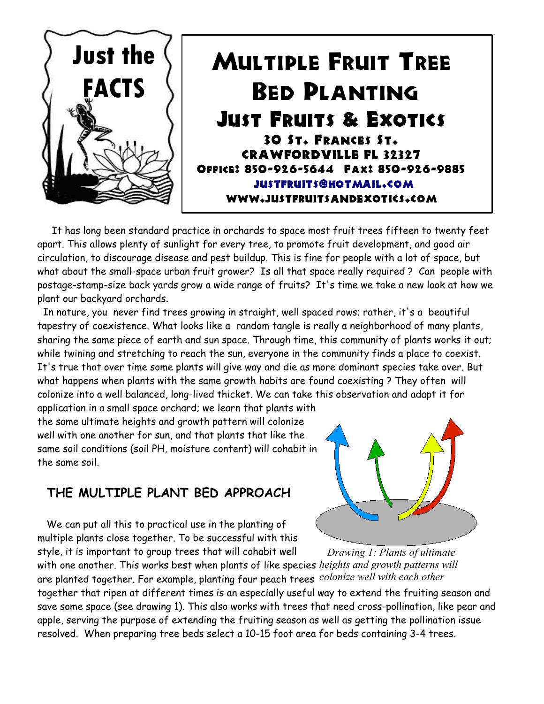

It has long been standard practice in orchards to space most fruit trees fifteen to twenty feet apart. This allows plenty of sunlight for every tree, to promote fruit development, and good air circulation, to discourage disease and pest buildup. This is fine for people with a lot of space, but what about the small-space urban fruit grower? Is all that space really required ? Can people with postage-stamp-size back yards grow a wide range of fruits? It's time we take a new look at how we plant our backyard orchards.

In nature, you never find trees growing in straight, well spaced rows; rather, it's a beautiful tapestry of coexistence. What looks like a random tangle is really a neighborhood of many plants, sharing the same piece of earth and sun space. Through time, this community of plants works it out; while twining and stretching to reach the sun, everyone in the community finds a place to coexist. It's true that over time some plants will give way and die as more dominant species take over. But what happens when plants with the same growth habits are found coexisting ? They often will colonize into a well balanced, long-lived thicket. We can take this observation and adapt it for application in a small space orchard; we learn that plants with

the same ultimate heights and growth pattern will colonize well with one another for sun, and that plants that like the same soil conditions (soil PH, moisture content) will cohabit in the same soil.

## **THE MULTIPLE PLANT BED APPROACH**

We can put all this to practical use in the planting of multiple plants close together. To be successful with this style, it is important to group trees that will cohabit well



with one another. This works best when plants of like species *heights and growth patterns will* are planted together. For example, planting four peach trees *colonize well with each other*together that ripen at different times is an especially useful way to extend the fruiting season and save some space (see drawing 1). This also works with trees that need cross-pollination, like pear and apple, serving the purpose of extending the fruiting season as well as getting the pollination issue resolved. When preparing tree beds select a 10-15 foot area for beds containing 3-4 trees.  *Drawing 1: Plants of ultimate*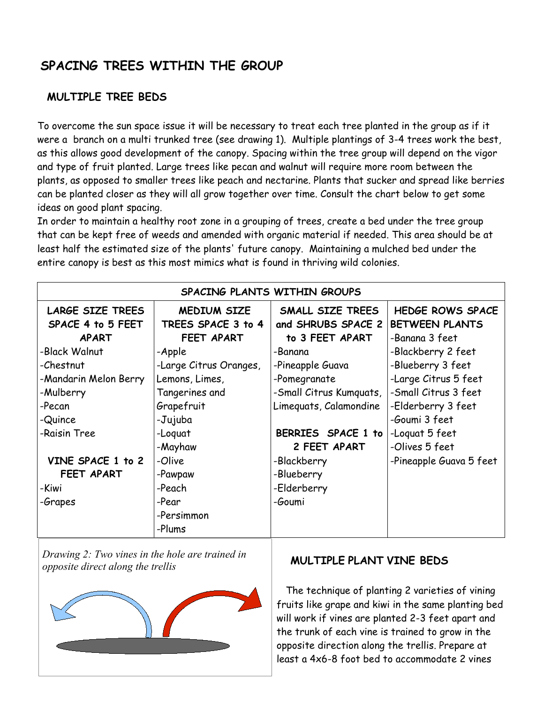# **SPACING TREES WITHIN THE GROUP**

### **MULTIPLE TREE BEDS**

To overcome the sun space issue it will be necessary to treat each tree planted in the group as if it were a branch on a multi trunked tree (see drawing 1). Multiple plantings of 3-4 trees work the best, as this allows good development of the canopy. Spacing within the tree group will depend on the vigor and type of fruit planted. Large trees like pecan and walnut will require more room between the plants, as opposed to smaller trees like peach and nectarine. Plants that sucker and spread like berries can be planted closer as they will all grow together over time. Consult the chart below to get some ideas on good plant spacing.

In order to maintain a healthy root zone in a grouping of trees, create a bed under the tree group that can be kept free of weeds and amended with organic material if needed. This area should be at least half the estimated size of the plants' future canopy. Maintaining a mulched bed under the entire canopy is best as this most mimics what is found in thriving wild colonies.

| SPACING PLANTS WITHIN GROUPS                                 |                                                        |                                                           |                                                                    |  |
|--------------------------------------------------------------|--------------------------------------------------------|-----------------------------------------------------------|--------------------------------------------------------------------|--|
| <b>LARGE SIZE TREES</b><br>SPACE 4 to 5 FEET<br><b>APART</b> | <b>MEDIUM SIZE</b><br>TREES SPACE 3 to 4<br>FEET APART | SMALL SIZE TREES<br>and SHRUBS SPACE 2<br>to 3 FEET APART | <b>HEDGE ROWS SPACE</b><br><b>BETWEEN PLANTS</b><br>-Banana 3 feet |  |
| -Black Walnut                                                | -Apple                                                 | -Banana                                                   | -Blackberry 2 feet                                                 |  |
| -Chestnut                                                    | -Large Citrus Oranges,                                 | -Pineapple Guava                                          | -Blueberry 3 feet                                                  |  |
| -Mandarin Melon Berry                                        | Lemons, Limes,                                         | -Pomegranate                                              | -Large Citrus 5 feet                                               |  |
| -Mulberry                                                    | Tangerines and                                         | -Small Citrus Kumquats,                                   | -Small Citrus 3 feet                                               |  |
| -Pecan                                                       | Grapefruit                                             | Limeguats, Calamondine                                    | -Elderberry 3 feet                                                 |  |
| -Quince                                                      | -Jujuba                                                |                                                           | -Goumi 3 feet                                                      |  |
| -Raisin Tree                                                 | -Loquat                                                | BERRIES SPACE 1 to                                        | -Loquat 5 feet                                                     |  |
|                                                              | -Mayhaw                                                | 2 FEET APART                                              | -Olives 5 feet                                                     |  |
| VINE SPACE 1 to 2                                            | -Olive                                                 | -Blackberry                                               | -Pineapple Guava 5 feet                                            |  |
| FEET APART                                                   | -Pawpaw                                                | -Blueberry                                                |                                                                    |  |
| -Kiwi                                                        | -Peach                                                 | -Elderberry                                               |                                                                    |  |
| -Grapes                                                      | -Pear                                                  | -Goumi                                                    |                                                                    |  |
|                                                              | -Persimmon                                             |                                                           |                                                                    |  |
|                                                              | -Plums                                                 |                                                           |                                                                    |  |

*Drawing 2: Two vines in the hole are trained in opposite direct along the trellis*



### **MULTIPLE PLANT VINE BEDS**

The technique of planting 2 varieties of vining fruits like grape and kiwi in the same planting bed will work if vines are planted 2-3 feet apart and the trunk of each vine is trained to grow in the opposite direction along the trellis. Prepare at least a 4x6-8 foot bed to accommodate 2 vines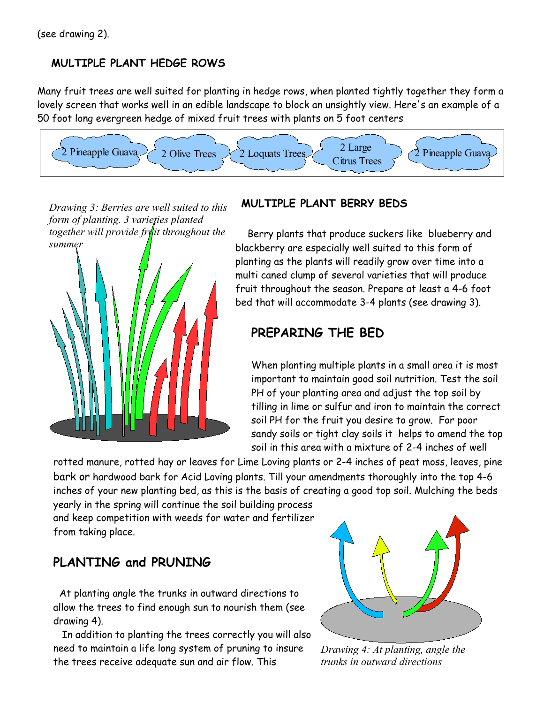#### **MULTIPLE PLANT HEDGE ROWS**

Many fruit trees are well suited for planting in hedge rows, when planted tightly together they form a lovely screen that works well in an edible landscape to block an unsightly view. Here's an example of a 50 foot long evergreen hedge of mixed fruit trees with plants on 5 foot centers



*Drawing 3: Berries are well suited to this form of planting. 3 varieties planted together will provide fruit throughout the summer*



#### **MULTIPLE PLANT BERRY BEDS**

Berry plants that produce suckers like blueberry and blackberry are especially well suited to this form of planting as the plants will readily grow over time into a multi caned clump of several varieties that will produce fruit throughout the season. Prepare at least a 4-6 foot bed that will accommodate 3-4 plants (see drawing 3).

### **PREPARING THE BED**

When planting multiple plants in a small area it is most important to maintain good soil nutrition. Test the soil PH of your planting area and adjust the top soil by tilling in lime or sulfur and iron to maintain the correct soil PH for the fruit you desire to grow. For poor sandy soils or tight clay soils it helps to amend the top soil in this area with a mixture of 2-4 inches of well

rotted manure, rotted hay or leaves for Lime Loving plants or 2-4 inches of peat moss, leaves, pine bark or hardwood bark for Acid Loving plants. Till your amendments thoroughly into the top 4-6 inches of your new planting bed, as this is the basis of creating a good top soil. Mulching the beds

yearly in the spring will continue the soil building process and keep competition with weeds for water and fertilizer from taking place.

# **PLANTING and PRUNING**

At planting angle the trunks in outward directions to allow the trees to find enough sun to nourish them (see drawing 4).

In addition to planting the trees correctly you will also need to maintain a life long system of pruning to insure the trees receive adequate sun and air flow. This



*Drawing 4: At planting, angle the trunks in outward directions*